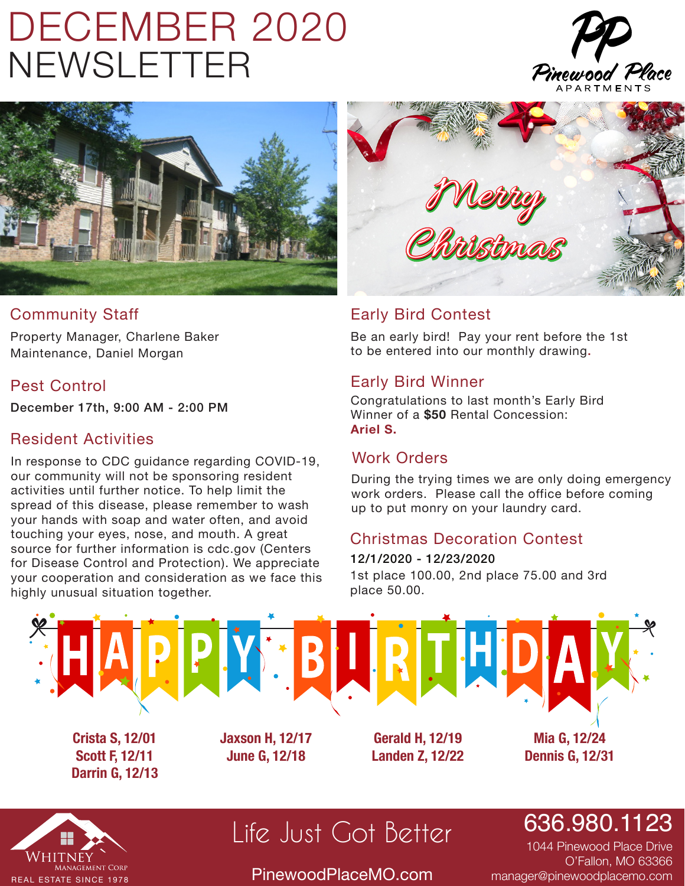# DECEMBER 2020 NEWSLETTER





### Community Staff

Property Manager, Charlene Baker Maintenance, Daniel Morgan

### Pest Control

December 17th, 9:00 AM - 2:00 PM

#### Resident Activities

In response to CDC guidance regarding COVID-19, our community will not be sponsoring resident activities until further notice. To help limit the spread of this disease, please remember to wash your hands with soap and water often, and avoid touching your eyes, nose, and mouth. A great source for further information is cdc.gov (Centers for Disease Control and Protection). We appreciate your cooperation and consideration as we face this highly unusual situation together.



### Early Bird Contest

Be an early bird! Pay your rent before the 1st to be entered into our monthly drawing.

#### Early Bird Winner

Congratulations to last month's Early Bird Winner of a **\$50** Rental Concession: **Ariel S.**

### Work Orders

During the trying times we are only doing emergency work orders. Please call the office before coming up to put monry on your laundry card.

### Christmas Decoration Contest

1st place 100.00, 2nd place 75.00 and 3rd place 50.00. 12/1/2020 - 12/23/2020



**Scott F, 12/11 Darrin G, 12/13** **June G, 12/18**

**Landen Z, 12/22**

**Dennis G, 12/31**



### Life Just Got Better

PinewoodPlaceMO.com

636.980.1123

1044 Pinewood Place Drive O'Fallon, MO 63366 manager@pinewoodplacemo.com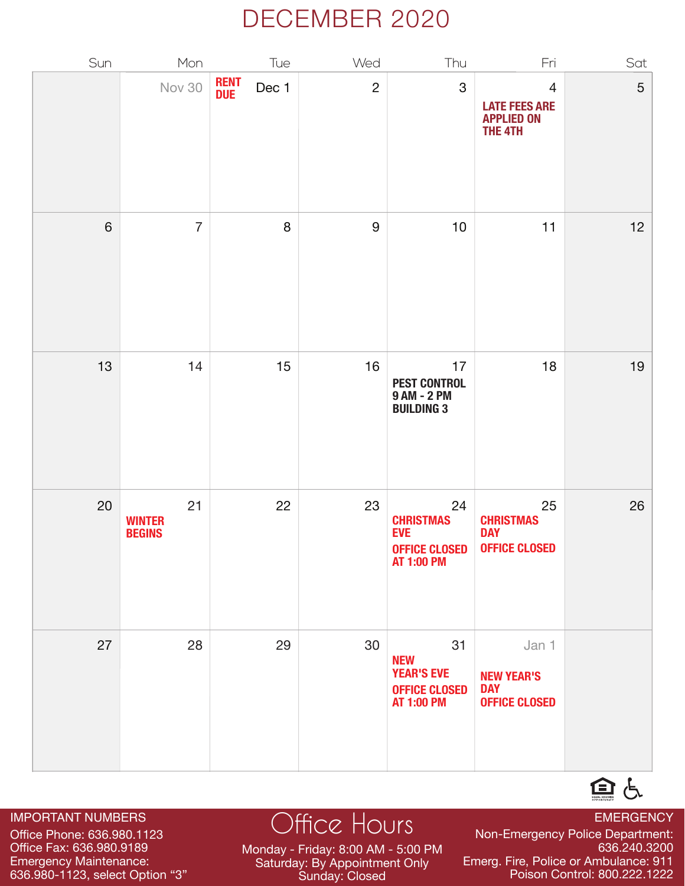### DECEMBER 2020

| Sun   | Mon                                  | Tue                          | Wed              | Thu                                                                                | Fri                                                                    | Sat |
|-------|--------------------------------------|------------------------------|------------------|------------------------------------------------------------------------------------|------------------------------------------------------------------------|-----|
|       | <b>Nov 30</b>                        | <b>RENT<br/>DUE</b><br>Dec 1 | $\overline{2}$   | $\mathbf 3$                                                                        | $\overline{4}$<br><b>LATE FEES ARE</b><br><b>APPLIED ON</b><br>THE 4TH | 5   |
| $6\,$ | $\overline{7}$                       | 8                            | $\boldsymbol{9}$ | $10$                                                                               | 11                                                                     | 12  |
| 13    | 14                                   | 15                           | 16               | 17<br><b>PEST CONTROL</b><br>9 AM - 2 PM<br><b>BUILDING 3</b>                      | 18                                                                     | 19  |
| 20    | 21<br><b>WINTER</b><br><b>BEGINS</b> | 22                           | 23               | 24<br><b>CHRISTMAS<br/>EVE</b><br><b>OFFICE CLOSED</b><br><b>AT 1:00 PM</b>        | 25<br><b>CHRISTMAS</b><br><b>DAY</b><br><b>OFFICE CLOSED</b>           | 26  |
| 27    | 28                                   | 29                           | 30               | 31<br><b>NEW</b><br><b>YEAR'S EVE</b><br><b>OFFICE CLOSED</b><br><b>AT 1:00 PM</b> | Jan 1<br><b>NEW YEAR'S</b><br><b>DAY</b><br><b>OFFICE CLOSED</b>       |     |

#### IMPORTANT NUMBERS

Office Phone: 636.980.1123 Office Fax: 636.980.9189 Emergency Maintenance: 636.980-1123, select Option "3"

### Office Hours<br>
Non-Emergency Police Department:

Monday - Friday: 8:00 AM - 5:00 PM Saturday: By Appointment Only Sunday: Closed

Non-Emergency Police Department: 636.240.3200 Emerg. Fire, Police or Ambulance: 911 Poison Control: 800.222.1222